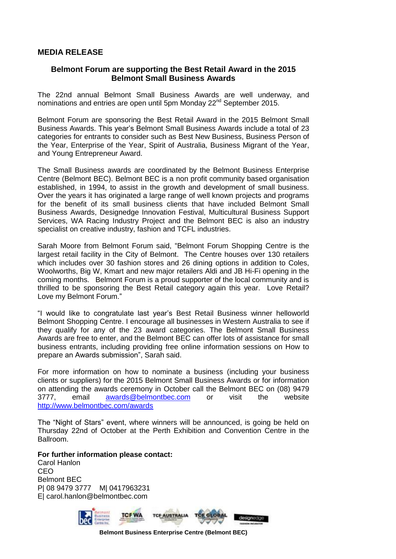## **MEDIA RELEASE**

## **Belmont Forum are supporting the Best Retail Award in the 2015 Belmont Small Business Awards**

The 22nd annual Belmont Small Business Awards are well underway, and nominations and entries are open until 5pm Monday 22<sup>nd</sup> September 2015.

Belmont Forum are sponsoring the Best Retail Award in the 2015 Belmont Small Business Awards. This year's Belmont Small Business Awards include a total of 23 categories for entrants to consider such as Best New Business, Business Person of the Year, Enterprise of the Year, Spirit of Australia, Business Migrant of the Year, and Young Entrepreneur Award.

The Small Business awards are coordinated by the Belmont Business Enterprise Centre (Belmont BEC). Belmont BEC is a non profit community based organisation established, in 1994, to assist in the growth and development of small business. Over the years it has originated a large range of well known projects and programs for the benefit of its small business clients that have included Belmont Small Business Awards, Designedge Innovation Festival, Multicultural Business Support Services, WA Racing Industry Project and the Belmont BEC is also an industry specialist on creative industry, fashion and TCFL industries.

Sarah Moore from Belmont Forum said, "Belmont Forum Shopping Centre is the largest retail facility in the City of Belmont. The Centre houses over 130 retailers which includes over 30 fashion stores and 26 dining options in addition to Coles, Woolworths, Big W, Kmart and new major retailers Aldi and JB Hi-Fi opening in the coming months. Belmont Forum is a proud supporter of the local community and is thrilled to be sponsoring the Best Retail category again this year. Love Retail? Love my Belmont Forum."

"I would like to congratulate last year's Best Retail Business winner helloworld Belmont Shopping Centre. I encourage all businesses in Western Australia to see if they qualify for any of the 23 award categories. The Belmont Small Business Awards are free to enter, and the Belmont BEC can offer lots of assistance for small business entrants, including providing free online information sessions on How to prepare an Awards submission", Sarah said.

For more information on how to nominate a business (including your business clients or suppliers) for the 2015 Belmont Small Business Awards or for information on attending the awards ceremony in October call the Belmont BEC on (08) 9479 3777, email [awards@belmontbec.com](mailto:awards@belmontbec.com) or visit the website <http://www.belmontbec.com/awards>

The "Night of Stars" event, where winners will be announced, is going be held on Thursday 22nd of October at the Perth Exhibition and Convention Centre in the Ballroom.

## **For further information please contact:**

Carol Hanlon CEO Belmont BEC P| 08 9479 3777 M| 0417963231 E| carol.hanlon@belmontbec.com



**Belmont Business Enterprise Centre (Belmont BEC)**